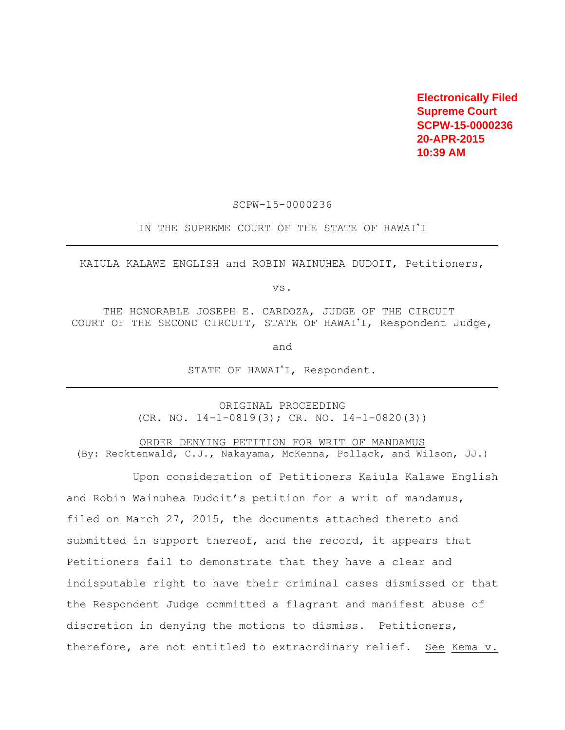**Electronically Filed Supreme Court SCPW-15-0000236 20-APR-2015 10:39 AM**

SCPW-15-0000236

IN THE SUPREME COURT OF THE STATE OF HAWAI'I

KAIULA KALAWE ENGLISH and ROBIN WAINUHEA DUDOIT, Petitioners,

vs.

THE HONORABLE JOSEPH E. CARDOZA, JUDGE OF THE CIRCUIT COURT OF THE SECOND CIRCUIT, STATE OF HAWAI'I, Respondent Judge,

and

STATE OF HAWAI'I, Respondent.

ORIGINAL PROCEEDING  $(CR. NO. 14-1-0819(3); CR. NO. 14-1-0820(3))$ 

ORDER DENYING PETITION FOR WRIT OF MANDAMUS (By: Recktenwald, C.J., Nakayama, McKenna, Pollack, and Wilson, JJ.)

Upon consideration of Petitioners Kaiula Kalawe English and Robin Wainuhea Dudoit's petition for a writ of mandamus, filed on March 27, 2015, the documents attached thereto and submitted in support thereof, and the record, it appears that Petitioners fail to demonstrate that they have a clear and indisputable right to have their criminal cases dismissed or that the Respondent Judge committed a flagrant and manifest abuse of discretion in denying the motions to dismiss. Petitioners, therefore, are not entitled to extraordinary relief. See Kema v.